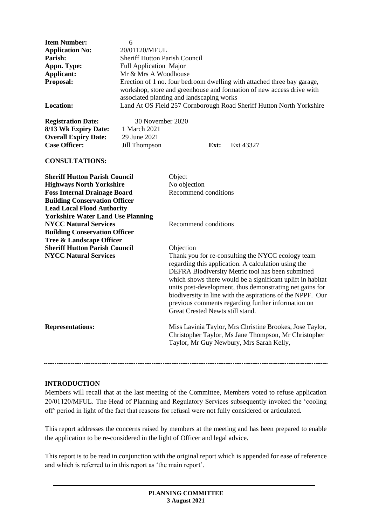| <b>Item Number:</b>    | 6                                                                                                                                                                                             |  |
|------------------------|-----------------------------------------------------------------------------------------------------------------------------------------------------------------------------------------------|--|
| <b>Application No:</b> | 20/01120/MFUL                                                                                                                                                                                 |  |
| Parish:                | <b>Sheriff Hutton Parish Council</b>                                                                                                                                                          |  |
| Appn. Type:            | <b>Full Application Major</b>                                                                                                                                                                 |  |
| Applicant:             | Mr & Mrs A Woodhouse                                                                                                                                                                          |  |
| <b>Proposal:</b>       | Erection of 1 no. four bedroom dwelling with attached three bay garage,<br>workshop, store and greenhouse and formation of new access drive with<br>associated planting and landscaping works |  |
| <b>Location:</b>       | Land At OS Field 257 Cornborough Road Sheriff Hutton North Yorkshire                                                                                                                          |  |

**8/13 Wk Expiry Date: Overall Expiry Date:** 29 June 2021

**Registration Date:** 30 November 2020<br>8/13 Wk Expiry Date: 1 March 2021 **Case Officer:** Jill Thompson **Ext:** Ext 43327

#### **CONSULTATIONS:**

| <b>Sheriff Hutton Parish Council</b><br><b>Highways North Yorkshire</b><br><b>Foss Internal Drainage Board</b><br><b>Building Conservation Officer</b><br><b>Lead Local Flood Authority</b><br><b>Yorkshire Water Land Use Planning</b> | Object<br>No objection<br>Recommend conditions                                                                                                                                                                                                                                                                                                                                                                                                               |
|-----------------------------------------------------------------------------------------------------------------------------------------------------------------------------------------------------------------------------------------|--------------------------------------------------------------------------------------------------------------------------------------------------------------------------------------------------------------------------------------------------------------------------------------------------------------------------------------------------------------------------------------------------------------------------------------------------------------|
| <b>NYCC Natural Services</b><br><b>Building Conservation Officer</b><br><b>Tree &amp; Landscape Officer</b>                                                                                                                             | Recommend conditions                                                                                                                                                                                                                                                                                                                                                                                                                                         |
| <b>Sheriff Hutton Parish Council</b><br><b>NYCC Natural Services</b>                                                                                                                                                                    | Objection<br>Thank you for re-consulting the NYCC ecology team<br>regarding this application. A calculation using the<br>DEFRA Biodiversity Metric tool has been submitted<br>which shows there would be a significant uplift in habitat<br>units post-development, thus demonstrating net gains for<br>biodiversity in line with the aspirations of the NPPF. Our<br>previous comments regarding further information on<br>Great Crested Newts still stand. |
| <b>Representations:</b>                                                                                                                                                                                                                 | Miss Lavinia Taylor, Mrs Christine Brookes, Jose Taylor,<br>Christopher Taylor, Ms Jane Thompson, Mr Christopher<br>Taylor, Mr Guy Newbury, Mrs Sarah Kelly,                                                                                                                                                                                                                                                                                                 |

#### **INTRODUCTION**

Members will recall that at the last meeting of the Committee, Members voted to refuse application 20/01120/MFUL. The Head of Planning and Regulatory Services subsequently invoked the 'cooling off' period in light of the fact that reasons for refusal were not fully considered or articulated.

This report addresses the concerns raised by members at the meeting and has been prepared to enable the application to be re-considered in the light of Officer and legal advice.

This report is to be read in conjunction with the original report which is appended for ease of reference and which is referred to in this report as 'the main report'.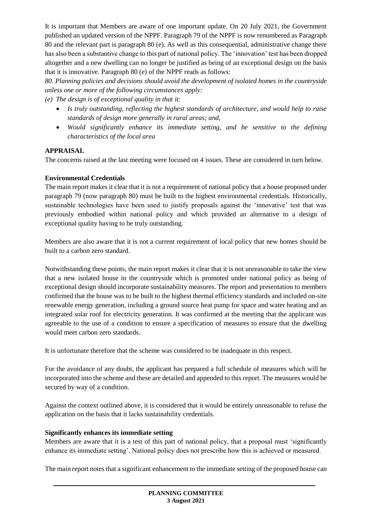It is important that Members are aware of one important update. On 20 July 2021, the Government published an updated version of the NPPF. Paragraph 79 of the NPPF is now renumbered as Paragraph 80 and the relevant part is paragraph 80 (e). As well as this consequential, administrative change there has also been a substantive change to this part of national policy. The 'innovation' test has been dropped altogether and a new dwelling can no longer be justified as being of an exceptional design on the basis that it is innovative. Paragraph 80 (e) of the NPPF reads as follows:

*80. Planning policies and decisions should avoid the development of isolated homes in the countryside unless one or more of the following circumstances apply:*

*(e) The design is of exceptional quality in that it:*

- *Is truly outstanding, reflecting the highest standards of architecture, and would help to raise standards of design more generally in rural areas; and,*
- *Would significantly enhance its immediate setting, and be sensitive to the defining characteristics of the local area*

# **APPRAISAL**

The concerns raised at the last meeting were focused on 4 issues. These are considered in turn below.

# **Environmental Credentials**

The main report makes it clear that it is not a requirement of national policy that a house proposed under paragraph 79 (now paragraph 80) must be built to the highest environmental credentials. Historically, sustainable technologies have been used to justify proposals against the 'innovative' test that was previously embodied within national policy and which provided an alternative to a design of exceptional quality having to be truly outstanding.

Members are also aware that it is not a current requirement of local policy that new homes should be built to a carbon zero standard.

Notwithstanding these points, the main report makes it clear that it is not unreasonable to take the view that a new isolated house in the countryside which is promoted under national policy as being of exceptional design should incorporate sustainability measures. The report and presentation to members confirmed that the house was to be built to the highest thermal efficiency standards and included on-site renewable energy generation, including a ground source heat pump for space and water heating and an integrated solar roof for electricity generation. It was confirmed at the meeting that the applicant was agreeable to the use of a condition to ensure a specification of measures to ensure that the dwelling would meet carbon zero standards.

It is unfortunate therefore that the scheme was considered to be inadequate in this respect.

For the avoidance of any doubt, the applicant has prepared a full schedule of measures which will be incorporated into the scheme and these are detailed and appended to this report. The measures would be secured by way of a condition.

Against the context outlined above, it is considered that it would be entirely unreasonable to refuse the application on the basis that it lacks sustainability credentials.

# **Significantly enhances its immediate setting**

Members are aware that it is a test of this part of national policy, that a proposal must 'significantly enhance its immediate setting'. National policy does not prescribe how this is achieved or measured.

The main report notes that a significant enhancement to the immediate setting of the proposed house can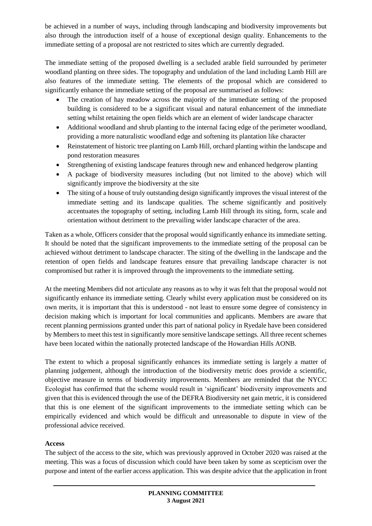be achieved in a number of ways, including through landscaping and biodiversity improvements but also through the introduction itself of a house of exceptional design quality. Enhancements to the immediate setting of a proposal are not restricted to sites which are currently degraded.

The immediate setting of the proposed dwelling is a secluded arable field surrounded by perimeter woodland planting on three sides. The topography and undulation of the land including Lamb Hill are also features of the immediate setting. The elements of the proposal which are considered to significantly enhance the immediate setting of the proposal are summarised as follows:

- The creation of hay meadow across the majority of the immediate setting of the proposed building is considered to be a significant visual and natural enhancement of the immediate setting whilst retaining the open fields which are an element of wider landscape character
- Additional woodland and shrub planting to the internal facing edge of the perimeter woodland, providing a more naturalistic woodland edge and softening its plantation like character
- Reinstatement of historic tree planting on Lamb Hill, orchard planting within the landscape and pond restoration measures
- Strengthening of existing landscape features through new and enhanced hedgerow planting
- A package of biodiversity measures including (but not limited to the above) which will significantly improve the biodiversity at the site
- The siting of a house of truly outstanding design significantly improves the visual interest of the immediate setting and its landscape qualities. The scheme significantly and positively accentuates the topography of setting, including Lamb Hill through its siting, form, scale and orientation without detriment to the prevailing wider landscape character of the area.

Taken as a whole, Officers consider that the proposal would significantly enhance its immediate setting. It should be noted that the significant improvements to the immediate setting of the proposal can be achieved without detriment to landscape character. The siting of the dwelling in the landscape and the retention of open fields and landscape features ensure that prevailing landscape character is not compromised but rather it is improved through the improvements to the immediate setting.

At the meeting Members did not articulate any reasons as to why it was felt that the proposal would not significantly enhance its immediate setting. Clearly whilst every application must be considered on its own merits, it is important that this is understood - not least to ensure some degree of consistency in decision making which is important for local communities and applicants. Members are aware that recent planning permissions granted under this part of national policy in Ryedale have been considered by Members to meet this test in significantly more sensitive landscape settings. All three recent schemes have been located within the nationally protected landscape of the Howardian Hills AONB.

The extent to which a proposal significantly enhances its immediate setting is largely a matter of planning judgement, although the introduction of the biodiversity metric does provide a scientific, objective measure in terms of biodiversity improvements. Members are reminded that the NYCC Ecologist has confirmed that the scheme would result in 'significant' biodiversity improvements and given that this is evidenced through the use of the DEFRA Biodiversity net gain metric, it is considered that this is one element of the significant improvements to the immediate setting which can be empirically evidenced and which would be difficult and unreasonable to dispute in view of the professional advice received.

## **Access**

The subject of the access to the site, which was previously approved in October 2020 was raised at the meeting. This was a focus of discussion which could have been taken by some as scepticism over the purpose and intent of the earlier access application. This was despite advice that the application in front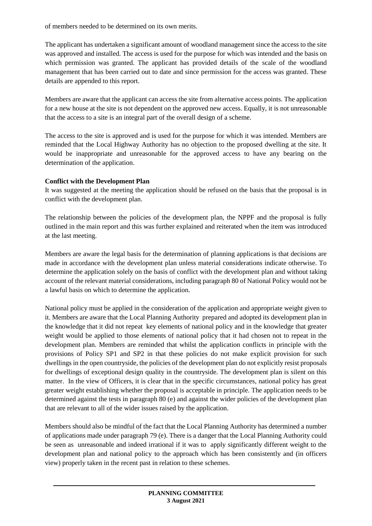of members needed to be determined on its own merits.

The applicant has undertaken a significant amount of woodland management since the access to the site was approved and installed. The access is used for the purpose for which was intended and the basis on which permission was granted. The applicant has provided details of the scale of the woodland management that has been carried out to date and since permission for the access was granted. These details are appended to this report.

Members are aware that the applicant can access the site from alternative access points. The application for a new house at the site is not dependent on the approved new access. Equally, it is not unreasonable that the access to a site is an integral part of the overall design of a scheme.

The access to the site is approved and is used for the purpose for which it was intended. Members are reminded that the Local Highway Authority has no objection to the proposed dwelling at the site. It would be inappropriate and unreasonable for the approved access to have any bearing on the determination of the application.

## **Conflict with the Development Plan**

It was suggested at the meeting the application should be refused on the basis that the proposal is in conflict with the development plan.

The relationship between the policies of the development plan, the NPPF and the proposal is fully outlined in the main report and this was further explained and reiterated when the item was introduced at the last meeting.

Members are aware the legal basis for the determination of planning applications is that decisions are made in accordance with the development plan unless material considerations indicate otherwise. To determine the application solely on the basis of conflict with the development plan and without taking account of the relevant material considerations, including paragraph 80 of National Policy would not be a lawful basis on which to determine the application.

National policy must be applied in the consideration of the application and appropriate weight given to it. Members are aware that the Local Planning Authority prepared and adopted its development plan in the knowledge that it did not repeat key elements of national policy and in the knowledge that greater weight would be applied to those elements of national policy that it had chosen not to repeat in the development plan. Members are reminded that whilst the application conflicts in principle with the provisions of Policy SP1 and SP2 in that these policies do not make explicit provision for such dwellings in the open countryside, the policies of the development plan do not explicitly resist proposals for dwellings of exceptional design quality in the countryside. The development plan is silent on this matter. In the view of Officers, it is clear that in the specific circumstances, national policy has great greater weight establishing whether the proposal is acceptable in principle. The application needs to be determined against the tests in paragraph 80 (e) and against the wider policies of the development plan that are relevant to all of the wider issues raised by the application.

Members should also be mindful of the fact that the Local Planning Authority has determined a number of applications made under paragraph 79 (e). There is a danger that the Local Planning Authority could be seen as unreasonable and indeed irrational if it was to apply significantly different weight to the development plan and national policy to the approach which has been consistently and (in officers view) properly taken in the recent past in relation to these schemes.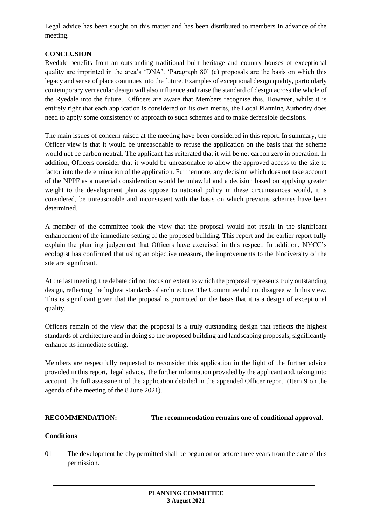Legal advice has been sought on this matter and has been distributed to members in advance of the meeting.

## **CONCLUSION**

Ryedale benefits from an outstanding traditional built heritage and country houses of exceptional quality are imprinted in the area's 'DNA'. 'Paragraph 80' (e) proposals are the basis on which this legacy and sense of place continues into the future. Examples of exceptional design quality, particularly contemporary vernacular design will also influence and raise the standard of design across the whole of the Ryedale into the future. Officers are aware that Members recognise this. However, whilst it is entirely right that each application is considered on its own merits, the Local Planning Authority does need to apply some consistency of approach to such schemes and to make defensible decisions.

The main issues of concern raised at the meeting have been considered in this report. In summary, the Officer view is that it would be unreasonable to refuse the application on the basis that the scheme would not be carbon neutral. The applicant has reiterated that it will be net carbon zero in operation. In addition, Officers consider that it would be unreasonable to allow the approved access to the site to factor into the determination of the application. Furthermore, any decision which does not take account of the NPPF as a material consideration would be unlawful and a decision based on applying greater weight to the development plan as oppose to national policy in these circumstances would, it is considered, be unreasonable and inconsistent with the basis on which previous schemes have been determined.

A member of the committee took the view that the proposal would not result in the significant enhancement of the immediate setting of the proposed building. This report and the earlier report fully explain the planning judgement that Officers have exercised in this respect. In addition, NYCC's ecologist has confirmed that using an objective measure, the improvements to the biodiversity of the site are significant.

At the last meeting, the debate did not focus on extent to which the proposal represents truly outstanding design, reflecting the highest standards of architecture. The Committee did not disagree with this view. This is significant given that the proposal is promoted on the basis that it is a design of exceptional quality.

Officers remain of the view that the proposal is a truly outstanding design that reflects the highest standards of architecture and in doing so the proposed building and landscaping proposals, significantly enhance its immediate setting.

Members are respectfully requested to reconsider this application in the light of the further advice provided in this report, legal advice, the further information provided by the applicant and, taking into account the full assessment of the application detailed in the appended Officer report (Item 9 on the agenda of the meeting of the 8 June 2021).

#### **RECOMMENDATION: The recommendation remains one of conditional approval.**

# **Conditions**

01 The development hereby permitted shall be begun on or before three years from the date of this permission.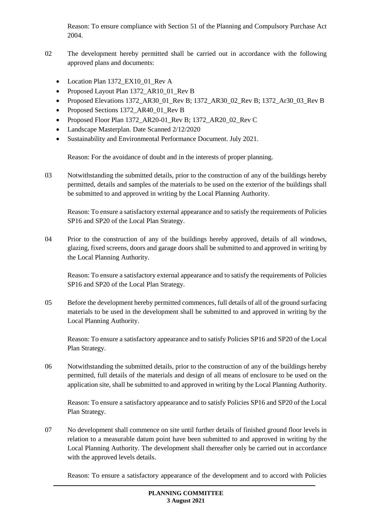Reason: To ensure compliance with Section 51 of the Planning and Compulsory Purchase Act 2004.

- 02 The development hereby permitted shall be carried out in accordance with the following approved plans and documents:
	- Location Plan 1372\_EX10\_01\_Rev A
	- Proposed Layout Plan 1372\_AR10\_01\_Rev B
	- Proposed Elevations 1372 AR30\_01 Rev B; 1372 AR30\_02 Rev B; 1372 Ar30\_03 Rev B
	- Proposed Sections 1372\_AR40\_01\_Rev B
	- Proposed Floor Plan 1372 AR20-01 Rev B; 1372 AR20 02 Rev C
	- Landscape Masterplan. Date Scanned 2/12/2020
	- Sustainability and Environmental Performance Document. July 2021.

Reason: For the avoidance of doubt and in the interests of proper planning.

03 Notwithstanding the submitted details, prior to the construction of any of the buildings hereby permitted, details and samples of the materials to be used on the exterior of the buildings shall be submitted to and approved in writing by the Local Planning Authority.

Reason: To ensure a satisfactory external appearance and to satisfy the requirements of Policies SP16 and SP20 of the Local Plan Strategy.

04 Prior to the construction of any of the buildings hereby approved, details of all windows, glazing, fixed screens, doors and garage doors shall be submitted to and approved in writing by the Local Planning Authority.

Reason: To ensure a satisfactory external appearance and to satisfy the requirements of Policies SP16 and SP20 of the Local Plan Strategy.

05 Before the development hereby permitted commences, full details of all of the ground surfacing materials to be used in the development shall be submitted to and approved in writing by the Local Planning Authority.

Reason: To ensure a satisfactory appearance and to satisfy Policies SP16 and SP20 of the Local Plan Strategy.

06 Notwithstanding the submitted details, prior to the construction of any of the buildings hereby permitted, full details of the materials and design of all means of enclosure to be used on the application site, shall be submitted to and approved in writing by the Local Planning Authority.

Reason: To ensure a satisfactory appearance and to satisfy Policies SP16 and SP20 of the Local Plan Strategy.

07 No development shall commence on site until further details of finished ground floor levels in relation to a measurable datum point have been submitted to and approved in writing by the Local Planning Authority. The development shall thereafter only be carried out in accordance with the approved levels details.

Reason: To ensure a satisfactory appearance of the development and to accord with Policies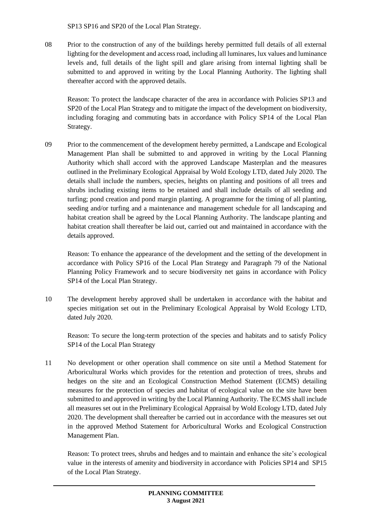SP13 SP16 and SP20 of the Local Plan Strategy.

08 Prior to the construction of any of the buildings hereby permitted full details of all external lighting for the development and access road, including all luminares, lux values and luminance levels and, full details of the light spill and glare arising from internal lighting shall be submitted to and approved in writing by the Local Planning Authority. The lighting shall thereafter accord with the approved details.

Reason: To protect the landscape character of the area in accordance with Policies SP13 and SP20 of the Local Plan Strategy and to mitigate the impact of the development on biodiversity, including foraging and commuting bats in accordance with Policy SP14 of the Local Plan Strategy.

09 Prior to the commencement of the development hereby permitted, a Landscape and Ecological Management Plan shall be submitted to and approved in writing by the Local Planning Authority which shall accord with the approved Landscape Masterplan and the measures outlined in the Preliminary Ecological Appraisal by Wold Ecology LTD, dated July 2020. The details shall include the numbers, species, heights on planting and positions of all trees and shrubs including existing items to be retained and shall include details of all seeding and turfing; pond creation and pond margin planting. A programme for the timing of all planting, seeding and/or turfing and a maintenance and management schedule for all landscaping and habitat creation shall be agreed by the Local Planning Authority. The landscape planting and habitat creation shall thereafter be laid out, carried out and maintained in accordance with the details approved.

Reason: To enhance the appearance of the development and the setting of the development in accordance with Policy SP16 of the Local Plan Strategy and Paragraph 79 of the National Planning Policy Framework and to secure biodiversity net gains in accordance with Policy SP14 of the Local Plan Strategy.

10 The development hereby approved shall be undertaken in accordance with the habitat and species mitigation set out in the Preliminary Ecological Appraisal by Wold Ecology LTD, dated July 2020.

Reason: To secure the long-term protection of the species and habitats and to satisfy Policy SP14 of the Local Plan Strategy

11 No development or other operation shall commence on site until a Method Statement for Arboricultural Works which provides for the retention and protection of trees, shrubs and hedges on the site and an Ecological Construction Method Statement (ECMS) detailing measures for the protection of species and habitat of ecological value on the site have been submitted to and approved in writing by the Local Planning Authority. The ECMS shall include all measures set out in the Preliminary Ecological Appraisal by Wold Ecology LTD, dated July 2020. The development shall thereafter be carried out in accordance with the measures set out in the approved Method Statement for Arboricultural Works and Ecological Construction Management Plan.

Reason: To protect trees, shrubs and hedges and to maintain and enhance the site's ecological value in the interests of amenity and biodiversity in accordance with Policies SP14 and SP15 of the Local Plan Strategy.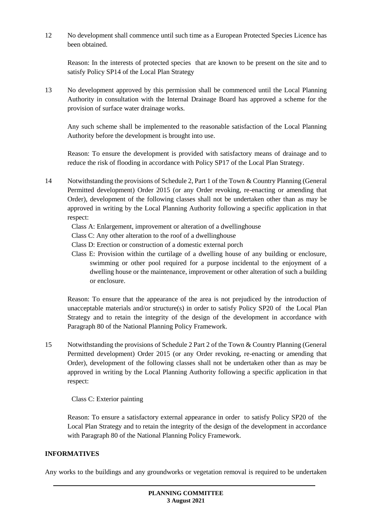12 No development shall commence until such time as a European Protected Species Licence has been obtained.

Reason: In the interests of protected species that are known to be present on the site and to satisfy Policy SP14 of the Local Plan Strategy

13 No development approved by this permission shall be commenced until the Local Planning Authority in consultation with the Internal Drainage Board has approved a scheme for the provision of surface water drainage works.

Any such scheme shall be implemented to the reasonable satisfaction of the Local Planning Authority before the development is brought into use.

Reason: To ensure the development is provided with satisfactory means of drainage and to reduce the risk of flooding in accordance with Policy SP17 of the Local Plan Strategy.

- 14 Notwithstanding the provisions of Schedule 2, Part 1 of the Town & Country Planning (General Permitted development) Order 2015 (or any Order revoking, re-enacting or amending that Order), development of the following classes shall not be undertaken other than as may be approved in writing by the Local Planning Authority following a specific application in that respect:
	- Class A: Enlargement, improvement or alteration of a dwellinghouse
	- Class C: Any other alteration to the roof of a dwellinghouse
	- Class D: Erection or construction of a domestic external porch
	- Class E: Provision within the curtilage of a dwelling house of any building or enclosure, swimming or other pool required for a purpose incidental to the enjoyment of a dwelling house or the maintenance, improvement or other alteration of such a building or enclosure.

Reason: To ensure that the appearance of the area is not prejudiced by the introduction of unacceptable materials and/or structure(s) in order to satisfy Policy SP20 of the Local Plan Strategy and to retain the integrity of the design of the development in accordance with Paragraph 80 of the National Planning Policy Framework.

15 Notwithstanding the provisions of Schedule 2 Part 2 of the Town & Country Planning (General Permitted development) Order 2015 (or any Order revoking, re-enacting or amending that Order), development of the following classes shall not be undertaken other than as may be approved in writing by the Local Planning Authority following a specific application in that respect:

Class C: Exterior painting

Reason: To ensure a satisfactory external appearance in order to satisfy Policy SP20 of the Local Plan Strategy and to retain the integrity of the design of the development in accordance with Paragraph 80 of the National Planning Policy Framework.

## **INFORMATIVES**

Any works to the buildings and any groundworks or vegetation removal is required to be undertaken